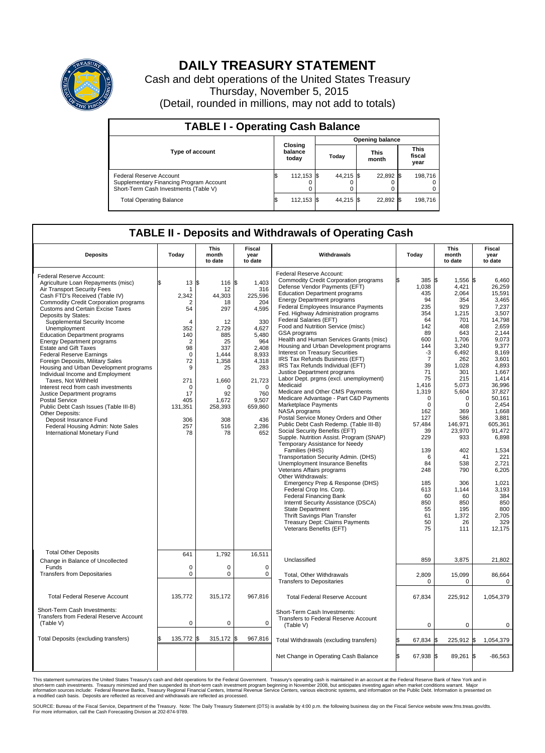

## **DAILY TREASURY STATEMENT**

Cash and debt operations of the United States Treasury Thursday, November 5, 2015 (Detail, rounded in millions, may not add to totals)

| <b>TABLE I - Operating Cash Balance</b>                                                                     |    |                             |                        |           |  |                      |  |                               |  |
|-------------------------------------------------------------------------------------------------------------|----|-----------------------------|------------------------|-----------|--|----------------------|--|-------------------------------|--|
|                                                                                                             |    |                             | <b>Opening balance</b> |           |  |                      |  |                               |  |
| <b>Type of account</b>                                                                                      |    | Closing<br>balance<br>today |                        | Today     |  | <b>This</b><br>month |  | <b>This</b><br>fiscal<br>year |  |
| Federal Reserve Account<br>Supplementary Financing Program Account<br>Short-Term Cash Investments (Table V) |    | 112,153 \$                  |                        | 44.215 \$ |  | 22,892 \$            |  | 198.716                       |  |
| <b>Total Operating Balance</b>                                                                              | ß. | 112,153 \$                  |                        | 44,215 \$ |  | 22,892 \$            |  | 198,716                       |  |

## **TABLE II - Deposits and Withdrawals of Operating Cash**

| <b>Deposits</b>                                                                                                                                                                                                                                                                                                                                                                                                                                                                                                                                                                                                                                                                                                                                                                                                                                     | Today                                                                                                                                                                               | <b>This</b><br>month<br>to date                                                                                                                                   | <b>Fiscal</b><br>year<br>to date                                                                                                                                                  | Withdrawals                                                                                                                                                                                                                                                                                                                                                                                                                                                                                                                                                                                                                                                                                                                                                                                                                                                                                                                                                                                                                                                                                                                                                                                                                                                                                                                                                                                   | Today                                                                                                                                                                                                                                                                                  | <b>This</b><br>month<br>to date                                                                                                                                                                                                                                                            | Fiscal<br>year<br>to date                                                                                                                                                                                                                                                                                                                 |
|-----------------------------------------------------------------------------------------------------------------------------------------------------------------------------------------------------------------------------------------------------------------------------------------------------------------------------------------------------------------------------------------------------------------------------------------------------------------------------------------------------------------------------------------------------------------------------------------------------------------------------------------------------------------------------------------------------------------------------------------------------------------------------------------------------------------------------------------------------|-------------------------------------------------------------------------------------------------------------------------------------------------------------------------------------|-------------------------------------------------------------------------------------------------------------------------------------------------------------------|-----------------------------------------------------------------------------------------------------------------------------------------------------------------------------------|-----------------------------------------------------------------------------------------------------------------------------------------------------------------------------------------------------------------------------------------------------------------------------------------------------------------------------------------------------------------------------------------------------------------------------------------------------------------------------------------------------------------------------------------------------------------------------------------------------------------------------------------------------------------------------------------------------------------------------------------------------------------------------------------------------------------------------------------------------------------------------------------------------------------------------------------------------------------------------------------------------------------------------------------------------------------------------------------------------------------------------------------------------------------------------------------------------------------------------------------------------------------------------------------------------------------------------------------------------------------------------------------------|----------------------------------------------------------------------------------------------------------------------------------------------------------------------------------------------------------------------------------------------------------------------------------------|--------------------------------------------------------------------------------------------------------------------------------------------------------------------------------------------------------------------------------------------------------------------------------------------|-------------------------------------------------------------------------------------------------------------------------------------------------------------------------------------------------------------------------------------------------------------------------------------------------------------------------------------------|
| Federal Reserve Account:<br>Agriculture Loan Repayments (misc)<br>Air Transport Security Fees<br>Cash FTD's Received (Table IV)<br><b>Commodity Credit Corporation programs</b><br><b>Customs and Certain Excise Taxes</b><br>Deposits by States:<br>Supplemental Security Income<br>Unemployment<br><b>Education Department programs</b><br><b>Energy Department programs</b><br><b>Estate and Gift Taxes</b><br><b>Federal Reserve Earnings</b><br>Foreign Deposits, Military Sales<br>Housing and Urban Development programs<br>Individual Income and Employment<br>Taxes. Not Withheld<br>Interest recd from cash investments<br>Justice Department programs<br><b>Postal Service</b><br>Public Debt Cash Issues (Table III-B)<br>Other Deposits:<br>Deposit Insurance Fund<br>Federal Housing Admin: Note Sales<br>International Monetary Fund | \$<br>13<br>-1<br>2,342<br>2<br>54<br>$\overline{4}$<br>352<br>140<br>$\overline{2}$<br>98<br>$\mathbf 0$<br>72<br>9<br>271<br>$\Omega$<br>17<br>405<br>131,351<br>306<br>257<br>78 | 116 \$<br>l\$<br>12<br>44,303<br>18<br>297<br>12<br>2.729<br>885<br>25<br>337<br>1.444<br>1.358<br>25<br>1,660<br>O<br>92<br>1,672<br>258,393<br>308<br>516<br>78 | 1.403<br>316<br>225,596<br>204<br>4,595<br>330<br>4.627<br>5,480<br>964<br>2,408<br>8,933<br>4,318<br>283<br>21,723<br>$\Omega$<br>760<br>9,507<br>659,860<br>436<br>2,286<br>652 | Federal Reserve Account:<br><b>Commodity Credit Corporation programs</b><br>Defense Vendor Payments (EFT)<br><b>Education Department programs</b><br><b>Energy Department programs</b><br><b>Federal Employees Insurance Payments</b><br>Fed. Highway Administration programs<br>Federal Salaries (EFT)<br>Food and Nutrition Service (misc)<br>GSA programs<br>Health and Human Services Grants (misc)<br>Housing and Urban Development programs<br>Interest on Treasury Securities<br>IRS Tax Refunds Business (EFT)<br>IRS Tax Refunds Individual (EFT)<br>Justice Department programs<br>Labor Dept. prgms (excl. unemployment)<br>Medicaid<br>Medicare and Other CMS Payments<br>Medicare Advantage - Part C&D Payments<br>Marketplace Payments<br>NASA programs<br>Postal Service Money Orders and Other<br>Public Debt Cash Redemp. (Table III-B)<br>Social Security Benefits (EFT)<br>Supple. Nutrition Assist. Program (SNAP)<br>Temporary Assistance for Needy<br>Families (HHS)<br>Transportation Security Admin. (DHS)<br>Unemployment Insurance Benefits<br>Veterans Affairs programs<br>Other Withdrawals:<br>Emergency Prep & Response (DHS)<br>Federal Crop Ins. Corp.<br><b>Federal Financing Bank</b><br>Interntl Security Assistance (DSCA)<br><b>State Department</b><br>Thrift Savings Plan Transfer<br><b>Treasury Dept: Claims Payments</b><br>Veterans Benefits (EFT) | 385 \$<br>1,038<br>435<br>94<br>235<br>354<br>64<br>142<br>89<br>600<br>144<br>-3<br>$\overline{7}$<br>39<br>71<br>75<br>1,416<br>1,319<br>$\mathbf 0$<br>$\mathbf 0$<br>162<br>127<br>57,484<br>39<br>229<br>139<br>6<br>84<br>248<br>185<br>613<br>60<br>850<br>55<br>61<br>50<br>75 | 1,556 \$<br>4,421<br>2.064<br>354<br>929<br>1,215<br>701<br>408<br>643<br>1,706<br>3,240<br>6,492<br>262<br>1,028<br>301<br>215<br>5,073<br>5.604<br>0<br>0<br>369<br>586<br>146.971<br>23,970<br>933<br>402<br>41<br>538<br>790<br>306<br>1,144<br>60<br>850<br>195<br>1,372<br>26<br>111 | 6,460<br>26,259<br>15.591<br>3,465<br>7,237<br>3,507<br>14.798<br>2,659<br>2.144<br>9,073<br>9,377<br>8,169<br>3,601<br>4.893<br>1,667<br>1,414<br>36,996<br>37,827<br>50,161<br>2,454<br>1.668<br>3,881<br>605.361<br>91,472<br>6,898<br>1,534<br>221<br>2,721<br>6,205<br>1,021<br>3.193<br>384<br>850<br>800<br>2.705<br>329<br>12,175 |
| <b>Total Other Deposits</b><br>Change in Balance of Uncollected                                                                                                                                                                                                                                                                                                                                                                                                                                                                                                                                                                                                                                                                                                                                                                                     | 641                                                                                                                                                                                 | 1,792                                                                                                                                                             | 16,511                                                                                                                                                                            | Unclassified                                                                                                                                                                                                                                                                                                                                                                                                                                                                                                                                                                                                                                                                                                                                                                                                                                                                                                                                                                                                                                                                                                                                                                                                                                                                                                                                                                                  | 859                                                                                                                                                                                                                                                                                    | 3,875                                                                                                                                                                                                                                                                                      | 21,802                                                                                                                                                                                                                                                                                                                                    |
| Funds<br><b>Transfers from Depositaries</b>                                                                                                                                                                                                                                                                                                                                                                                                                                                                                                                                                                                                                                                                                                                                                                                                         | $\mathbf 0$<br>0                                                                                                                                                                    | 0<br>0                                                                                                                                                            | $\mathbf 0$<br>0                                                                                                                                                                  | Total, Other Withdrawals<br><b>Transfers to Depositaries</b>                                                                                                                                                                                                                                                                                                                                                                                                                                                                                                                                                                                                                                                                                                                                                                                                                                                                                                                                                                                                                                                                                                                                                                                                                                                                                                                                  | 2,809<br>0                                                                                                                                                                                                                                                                             | 15,099<br>0                                                                                                                                                                                                                                                                                | 86,664<br>$\mathbf 0$                                                                                                                                                                                                                                                                                                                     |
| <b>Total Federal Reserve Account</b>                                                                                                                                                                                                                                                                                                                                                                                                                                                                                                                                                                                                                                                                                                                                                                                                                | 135,772                                                                                                                                                                             | 315,172                                                                                                                                                           | 967,816                                                                                                                                                                           | <b>Total Federal Reserve Account</b>                                                                                                                                                                                                                                                                                                                                                                                                                                                                                                                                                                                                                                                                                                                                                                                                                                                                                                                                                                                                                                                                                                                                                                                                                                                                                                                                                          | 67,834                                                                                                                                                                                                                                                                                 | 225,912                                                                                                                                                                                                                                                                                    | 1,054,379                                                                                                                                                                                                                                                                                                                                 |
| Short-Term Cash Investments:<br>Transfers from Federal Reserve Account<br>(Table V)                                                                                                                                                                                                                                                                                                                                                                                                                                                                                                                                                                                                                                                                                                                                                                 | $\pmb{0}$                                                                                                                                                                           | 0                                                                                                                                                                 | $\mathbf 0$                                                                                                                                                                       | Short-Term Cash Investments:<br>Transfers to Federal Reserve Account<br>(Table V)                                                                                                                                                                                                                                                                                                                                                                                                                                                                                                                                                                                                                                                                                                                                                                                                                                                                                                                                                                                                                                                                                                                                                                                                                                                                                                             | 0                                                                                                                                                                                                                                                                                      | $\Omega$                                                                                                                                                                                                                                                                                   | 0                                                                                                                                                                                                                                                                                                                                         |
| Total Deposits (excluding transfers)                                                                                                                                                                                                                                                                                                                                                                                                                                                                                                                                                                                                                                                                                                                                                                                                                | 135,772<br>\$                                                                                                                                                                       | 315,172 \$<br>1\$                                                                                                                                                 | 967,816                                                                                                                                                                           | Total Withdrawals (excluding transfers)                                                                                                                                                                                                                                                                                                                                                                                                                                                                                                                                                                                                                                                                                                                                                                                                                                                                                                                                                                                                                                                                                                                                                                                                                                                                                                                                                       | 67,834                                                                                                                                                                                                                                                                                 | 225,912 \$<br>l\$                                                                                                                                                                                                                                                                          | 1,054,379                                                                                                                                                                                                                                                                                                                                 |
|                                                                                                                                                                                                                                                                                                                                                                                                                                                                                                                                                                                                                                                                                                                                                                                                                                                     |                                                                                                                                                                                     |                                                                                                                                                                   |                                                                                                                                                                                   | Net Change in Operating Cash Balance                                                                                                                                                                                                                                                                                                                                                                                                                                                                                                                                                                                                                                                                                                                                                                                                                                                                                                                                                                                                                                                                                                                                                                                                                                                                                                                                                          | Ŝ.<br>67,938 \$                                                                                                                                                                                                                                                                        | 89,261 \$                                                                                                                                                                                                                                                                                  | $-86.563$                                                                                                                                                                                                                                                                                                                                 |

This statement summarizes the United States Treasury's cash and debt operations for the Federal Government. Treasury's operating cash is maintained in an account at the Federal Reserve Bank of New York and in<br>short-term ca

SOURCE: Bureau of the Fiscal Service, Department of the Treasury. Note: The Daily Treasury Statement (DTS) is available by 4:00 p.m. the following business day on the Fiscal Service website www.fms.treas.gov/dts.<br>For more